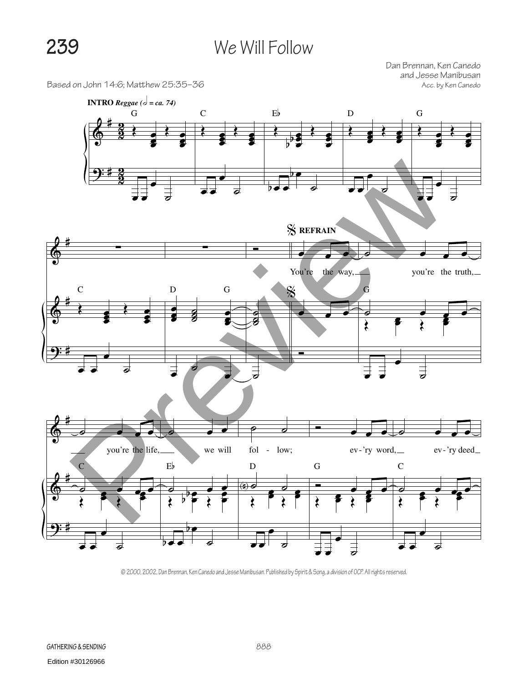## **239** We Will Follow

Based on John 14:6; Matthew 25:35-36

Dan Brennan, Ken Canedo and Jesse Manibusan



© 2000, 2002, Dan Brennan, Ken Canedo and Jesse Manibusan. Published by Spirit & Song, a division of OCP. All rights reserved.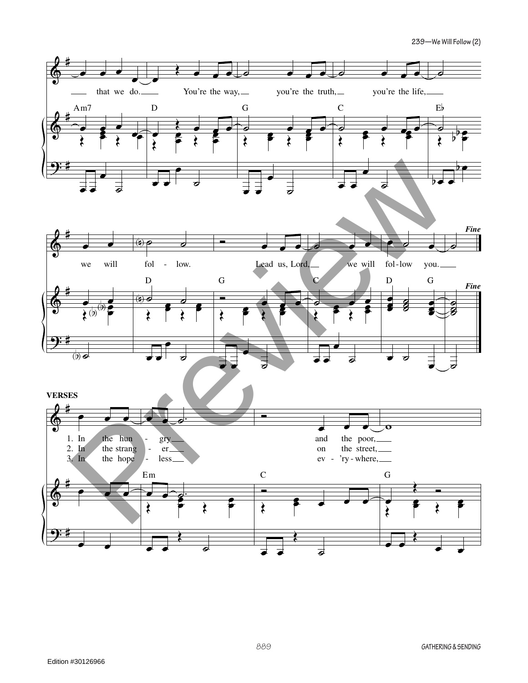